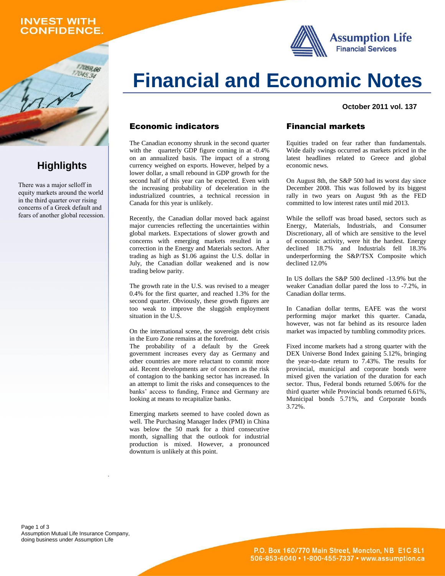## **INVEST WITH ONFIDENCE.**

059.66

**Highlights**

There was a major selloff in equity markets around the world in the third quarter over rising concerns of a Greek default and fears of another global recession.





#### **October 2011 vol. 137**

## Economic indicators

The Canadian economy shrunk in the second quarter with the quarterly GDP figure coming in at  $-0.4\%$ on an annualized basis. The impact of a strong currency weighed on exports. However, helped by a lower dollar, a small rebound in GDP growth for the second half of this year can be expected. Even with the increasing probability of deceleration in the industrialized countries, a technical recession in Canada for this year is unlikely.

Recently, the Canadian dollar moved back against major currencies reflecting the uncertainties within global markets. Expectations of slower growth and concerns with emerging markets resulted in a correction in the Energy and Materials sectors. After trading as high as \$1.06 against the U.S. dollar in July, the Canadian dollar weakened and is now trading below parity.

The growth rate in the U.S. was revised to a meager 0.4% for the first quarter, and reached 1.3% for the second quarter. Obviously, these growth figures are too weak to improve the sluggish employment situation in the U.S.

On the international scene, the sovereign debt crisis in the Euro Zone remains at the forefront.

The probability of a default by the Greek government increases every day as Germany and other countries are more reluctant to commit more aid. Recent developments are of concern as the risk of contagion to the banking sector has increased. In an attempt to limit the risks and consequences to the banks' access to funding, France and Germany are looking at means to recapitalize banks.

Emerging markets seemed to have cooled down as well. The Purchasing Manager Index (PMI) in China was below the 50 mark for a third consecutive month, signalling that the outlook for industrial production is mixed. However, a pronounced downturn is unlikely at this point.

## Financial markets

Equities traded on fear rather than fundamentals. Wide daily swings occurred as markets priced in the latest headlines related to Greece and global economic news.

On August 8th, the S&P 500 had its worst day since December 2008. This was followed by its biggest rally in two years on August 9th as the FED committed to low interest rates until mid 2013.

While the selloff was broad based, sectors such as Energy, Materials, Industrials, and Consumer Discretionary, all of which are sensitive to the level of economic activity, were hit the hardest. Energy declined 18.7% and Industrials fell 18.3% underperforming the S&P/TSX Composite which declined 12.0%

In US dollars the S&P 500 declined -13.9% but the weaker Canadian dollar pared the loss to -7.2%, in Canadian dollar terms.

In Canadian dollar terms, EAFE was the worst performing major market this quarter. Canada, however, was not far behind as its resource laden market was impacted by tumbling commodity prices.

Fixed income markets had a strong quarter with the DEX Universe Bond Index gaining 5.12%, bringing the year-to-date return to 7.43%. The results for provincial, municipal and corporate bonds were mixed given the variation of the duration for each sector. Thus, Federal bonds returned 5.06% for the third quarter while Provincial bonds returned 6.61%, Municipal bonds 5.71%, and Corporate bonds 3.72%.

Page 1 of 3 Assumption Mutual Life Insurance Company, doing business under Assumption Life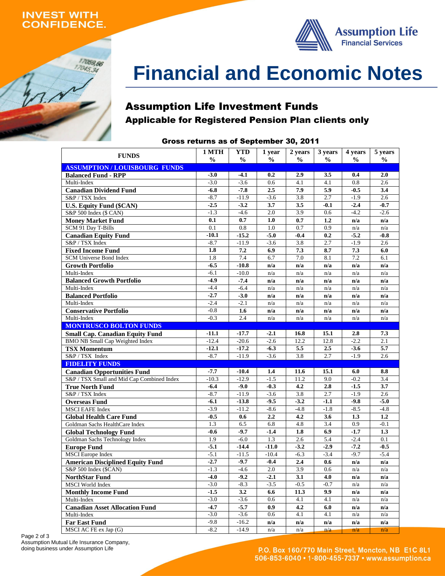## **INVEST WITH ONFIDENCE.**

17059,66  $17045,34$ 



# **Financial and Economic Notes**

## Assumption Life Investment Funds Applicable for Registered Pension Plan clients only

## Gross returns as of September 30, 2011

| <b>FUNDS</b>                                   | 1 MTH         | <b>YTD</b>        | 1 year            | 2 years       | 3 years       | 4 years       | 5 years       |
|------------------------------------------------|---------------|-------------------|-------------------|---------------|---------------|---------------|---------------|
|                                                | $\frac{6}{9}$ | $\frac{6}{9}$     | $\frac{0}{0}$     | $\frac{6}{6}$ | $\frac{6}{9}$ | $\frac{6}{9}$ | $\frac{0}{0}$ |
| <b>ASSUMPTION/LOUISBOURG FUNDS</b>             |               |                   |                   |               |               |               |               |
| <b>Balanced Fund - RPP</b>                     | $-3.0$        | $-4.1$            | 0.2               | 2.9           | 3.5           | 0.4           | 2.0           |
| Multi-Index                                    | $-3.0$        | $-3.6$            | 0.6               | 4.1           | 4.1           | 0.8           | 2.6           |
| <b>Canadian Dividend Fund</b>                  | $-6.8$        | $-7.8$            | 2.5               | 7.9           | 5.9           | $-0.5$        | 3.4           |
| S&P / TSX Index                                | $-8.7$        | $-11.9$           | $-3.6$            | 3.8           | 2.7           | $-1.9$        | 2.6           |
| <b>U.S. Equity Fund (\$CAN)</b>                | $-2.5$        | $-3.2$            | 3.7               | 3.5           | $-0.1$        | $-2.4$        | $-0.7$        |
| S&P 500 Index (\$ CAN)                         | $-1.3$        | $-4.6$            | 2.0               | 3.9           | 0.6           | $-4.2$        | $-2.6$        |
| <b>Money Market Fund</b>                       | 0.1           | 0.7               | 1.0               | 0.7           | 1.2           | n/a           | n/a           |
| SCM 91 Day T-Bills                             | 0.1           | 0.8               | 1.0               | 0.7           | 0.9           | n/a           | n/a           |
| <b>Canadian Equity Fund</b>                    | $-10.1$       | $-15.2$           | $-5.0$            | $-0.4$        | 0.2           | $-5.2$        | $-0.8$        |
| S&P / TSX Index                                | $-8.7$        | $-11.9$           | $-3.6$            | 3.8           | 2.7           | $-1.9$        | 2.6           |
| <b>Fixed Income Fund</b>                       | 1.8           | 7.2               | 6.9               | 7.3           | 8.7           | 7.3           | 6.0           |
| SCM Universe Bond Index                        | 1.8           | 7.4               | 6.7               | 7.0           | 8.1           | 7.2           | 6.1           |
| <b>Growth Portfolio</b>                        | $-6.5$        | $-10.8$           | n/a               | n/a           | n/a           | n/a           | n/a           |
| Multi-Index                                    | $-6.1$        | $-10.0$           | n/a               | n/a           | n/a           | n/a           | n/a           |
| <b>Balanced Growth Portfolio</b>               | $-4.9$        | $-7.4$            | n/a               | n/a           | n/a           | n/a           | n/a           |
| Multi-Index                                    | $-4.4$        | $-6.4$            | n/a               | n/a           | n/a           | n/a           | n/a           |
| <b>Balanced Portfolio</b>                      | $-2.7$        | $-3.0$            | n/a               | n/a           | n/a           | n/a           | n/a           |
| Multi-Index                                    | $-2.4$        | $-2.1$            | n/a               | n/a           | n/a           | n/a           | n/a           |
| <b>Conservative Portfolio</b>                  | $-0.8$        | 1.6               | n/a               | n/a           | n/a           | n/a           | n/a           |
| Multi-Index                                    | $-0.3$        | 2.4               | n/a               | n/a           | n/a           | n/a           | n/a           |
| <b>MONTRUSCO BOLTON FUNDS</b>                  |               |                   |                   |               |               |               |               |
| <b>Small Cap. Canadian Equity Fund</b>         | $-11.1$       | $-17.7$           | $-2.1$            | 16.8          | 15.1          | 2.8           | 7.3           |
| <b>BMO NB Small Cap Weighted Index</b>         | $-12.4$       | $-20.6$           | $-2.6$            | 12.2          | 12.8          | $-2.2$        | 2.1           |
| <b>TSX Momentum</b>                            | $-12.1$       | $-17.2$           | $-6.3$            | 5.5           | 2.5           | $-3.6$        | 5.7           |
| S&P / TSX Index                                | $-8.7$        | $-11.9$           | $-3.6$            | 3.8           | 2.7           | $-1.9$        | 2.6           |
| <b>FIDELITY FUNDS</b>                          |               |                   |                   |               |               |               |               |
| <b>Canadian Opportunities Fund</b>             | $-7.7$        | $-10.4$           | 1.4               | 11.6          | 15.1          | 6.0           | 8.8           |
| S&P / TSX Small and Mid Cap Combined Index     | $-10.3$       | $-12.9$           | $-1.5$            | 11.2          | 9.0           | $-0.2$        | 3.4           |
| <b>True North Fund</b>                         | $-6.4$        | $-9.0$            | $-0.3$            | 4.2           | 2.8           | $-1.5$        | 3.7           |
| S&P / TSX Index                                | $-8.7$        | $-11.9$           | $-3.6$            | 3.8           | 2.7           | $-1.9$        | 2.6           |
| <b>Overseas Fund</b>                           | $-6.1$        | $-13.8$           | $-9.5$            | $-3.2$        | $-1.1$        | $-9.8$        | $-5.0$        |
| <b>MSCI EAFE Index</b>                         | $-3.9$        | $-11.2$           | $-8.6$            | $-4.8$        | $-1.8$        | $-8.5$        | $-4.8$        |
| <b>Global Health Care Fund</b>                 | $-0.5$<br>1.3 | 0.6               | 2.2               | 4.2           | 3.6<br>3.4    | 1.3<br>0.9    | 1.2           |
| Goldman Sachs HealthCare Index                 |               | 6.5               | 6.8               | 4.8           | 6.9           | $-1.7$        | $-0.1$<br>1.3 |
| <b>Global Technology Fund</b>                  | $-0.6$<br>1.9 | $-9.7$            | $-1.4$            | 1.8<br>2.6    | 5.4           | $-2.4$        | 0.1           |
| Goldman Sachs Technology Index                 | $-5.1$        | $-6.0$<br>$-14.4$ | 1.3<br>$-11.0$    | $-3.2$        | $-2.9$        | $-7.2$        | $-0.5$        |
| <b>Europe Fund</b><br><b>MSCI</b> Europe Index | $-5.1$        | $-11.5$           |                   |               | $-3.4$        | $-9.7$        | $-5.4$        |
|                                                | $-2.7$        | $-9.7$            | $-10.4$<br>$-0.4$ | $-6.3$<br>2.4 | 0.6           |               |               |
| <b>American Disciplined Equity Fund</b>        | $-1.3$        | $-4.6$            | 2.0               | 3.9           |               | n/a           | n/a           |
| S&P 500 Index (\$CAN)                          | $-4.0$        |                   |                   |               | 0.6           | n/a           | n/a           |
| NorthStar Fund<br><b>MSCI</b> World Index      | $-3.0$        | $-9.2$<br>$-8.3$  | $-2.1$<br>$-3.5$  | 3.1<br>$-0.5$ | 4.0<br>$-0.7$ | n/a           | n/a           |
| <b>Monthly Income Fund</b>                     | $-1.5$        | 3.2               | 6.6               | 11.3          | 9.9           | n/a<br>n/a    | n/a<br>n/a    |
| Multi-Index                                    | $-3.0$        | $-3.6$            | 0.6               | 4.1           | 4.1           | n/a           | n/a           |
| <b>Canadian Asset Allocation Fund</b>          | $-4.7$        | $-5.7$            | 0.9               | 4.2           | 6.0           | n/a           | n/a           |
| Multi-Index                                    | $-3.0$        | $-3.6$            | 0.6               | 4.1           | 4.1           | n/a           | n/a           |
|                                                | $-9.8$        | $-16.2$           | n/a               | n/a           | n/a           | n/a           | n/a           |
| <b>Far East Fund</b><br>MSCI AC FE ex Jap (G)  | $-8.2$        | $-14.9$           | n/a               | n/a           | n/a           | n/a           | n/a           |

Page 2 of 3 Assumption Mutual Life Insurance Company, doing business under Assumption Life